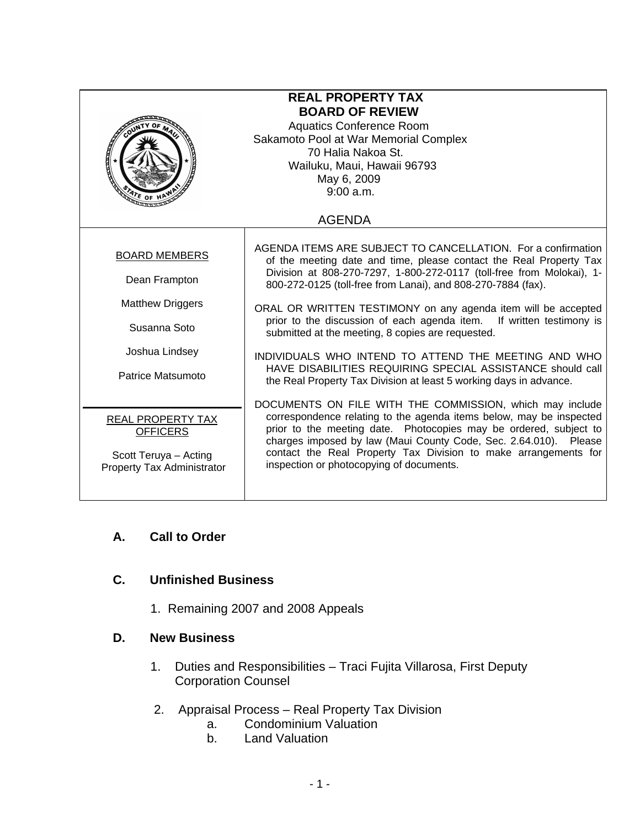| $\frac{A}{A}$ r <sub>E OF</sub>                                                                                         | <b>REAL PROPERTY TAX</b><br><b>BOARD OF REVIEW</b><br><b>Aquatics Conference Room</b><br>Sakamoto Pool at War Memorial Complex<br>70 Halia Nakoa St.<br>Wailuku, Maui, Hawaii 96793<br>May 6, 2009<br>9:00 a.m.                                                                                                                                                                                                                                                                                                                                                                                                                                                       |
|-------------------------------------------------------------------------------------------------------------------------|-----------------------------------------------------------------------------------------------------------------------------------------------------------------------------------------------------------------------------------------------------------------------------------------------------------------------------------------------------------------------------------------------------------------------------------------------------------------------------------------------------------------------------------------------------------------------------------------------------------------------------------------------------------------------|
| <b>AGENDA</b>                                                                                                           |                                                                                                                                                                                                                                                                                                                                                                                                                                                                                                                                                                                                                                                                       |
| <b>BOARD MEMBERS</b><br>Dean Frampton<br><b>Matthew Driggers</b><br>Susanna Soto<br>Joshua Lindsey<br>Patrice Matsumoto | AGENDA ITEMS ARE SUBJECT TO CANCELLATION. For a confirmation<br>of the meeting date and time, please contact the Real Property Tax<br>Division at 808-270-7297, 1-800-272-0117 (toll-free from Molokai), 1-<br>800-272-0125 (toll-free from Lanai), and 808-270-7884 (fax).<br>ORAL OR WRITTEN TESTIMONY on any agenda item will be accepted<br>prior to the discussion of each agenda item. If written testimony is<br>submitted at the meeting, 8 copies are requested.<br>INDIVIDUALS WHO INTEND TO ATTEND THE MEETING AND WHO<br>HAVE DISABILITIES REQUIRING SPECIAL ASSISTANCE should call<br>the Real Property Tax Division at least 5 working days in advance. |
| REAL PROPERTY TAX<br><b>OFFICERS</b><br>Scott Teruya - Acting<br>Property Tax Administrator                             | DOCUMENTS ON FILE WITH THE COMMISSION, which may include<br>correspondence relating to the agenda items below, may be inspected<br>prior to the meeting date. Photocopies may be ordered, subject to<br>charges imposed by law (Maui County Code, Sec. 2.64.010). Please<br>contact the Real Property Tax Division to make arrangements for<br>inspection or photocopying of documents.                                                                                                                                                                                                                                                                               |

# **A. Call to Order**

## **C. Unfinished Business**

1. Remaining 2007 and 2008 Appeals

### **D. New Business**

- 1. Duties and Responsibilities Traci Fujita Villarosa, First Deputy Corporation Counsel
- 2. Appraisal Process Real Property Tax Division
	- a. Condominium Valuation
	- b. Land Valuation